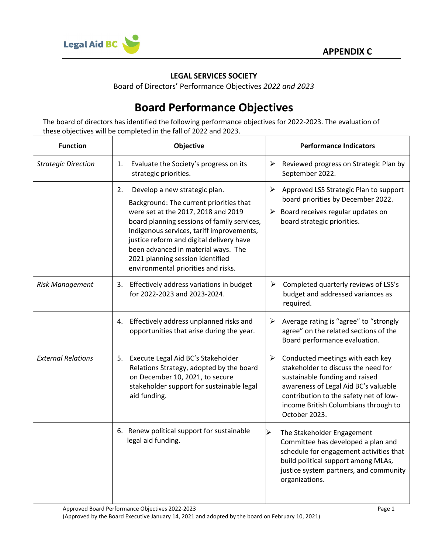

## **LEGAL SERVICES SOCIETY**

Board of Directors' Performance Objectives *2022 and 2023*

## **Board Performance Objectives**

The board of directors has identified the following performance objectives for 2022-2023. The evaluation of these objectives will be completed in the fall of 2022 and 2023.

| <b>Function</b>            | Objective                                                                                                                                                                                                                                                                                                                                                                       | <b>Performance Indicators</b>                                                                                                                                                                                                                                                 |
|----------------------------|---------------------------------------------------------------------------------------------------------------------------------------------------------------------------------------------------------------------------------------------------------------------------------------------------------------------------------------------------------------------------------|-------------------------------------------------------------------------------------------------------------------------------------------------------------------------------------------------------------------------------------------------------------------------------|
| <b>Strategic Direction</b> | Evaluate the Society's progress on its<br>1.<br>strategic priorities.                                                                                                                                                                                                                                                                                                           | ≻<br>Reviewed progress on Strategic Plan by<br>September 2022.                                                                                                                                                                                                                |
|                            | 2.<br>Develop a new strategic plan.<br>Background: The current priorities that<br>were set at the 2017, 2018 and 2019<br>board planning sessions of family services,<br>Indigenous services, tariff improvements,<br>justice reform and digital delivery have<br>been advanced in material ways. The<br>2021 planning session identified<br>environmental priorities and risks. | $\blacktriangleright$<br>Approved LSS Strategic Plan to support<br>board priorities by December 2022.<br>Board receives regular updates on<br>➤<br>board strategic priorities.                                                                                                |
| <b>Risk Management</b>     | 3. Effectively address variations in budget<br>for 2022-2023 and 2023-2024.                                                                                                                                                                                                                                                                                                     | Completed quarterly reviews of LSS's<br>➤<br>budget and addressed variances as<br>required.                                                                                                                                                                                   |
|                            | 4. Effectively address unplanned risks and<br>opportunities that arise during the year.                                                                                                                                                                                                                                                                                         | $\triangleright$ Average rating is "agree" to "strongly<br>agree" on the related sections of the<br>Board performance evaluation.                                                                                                                                             |
| <b>External Relations</b>  | 5. Execute Legal Aid BC's Stakeholder<br>Relations Strategy, adopted by the board<br>on December 10, 2021, to secure<br>stakeholder support for sustainable legal<br>aid funding.                                                                                                                                                                                               | $\blacktriangleright$<br>Conducted meetings with each key<br>stakeholder to discuss the need for<br>sustainable funding and raised<br>awareness of Legal Aid BC's valuable<br>contribution to the safety net of low-<br>income British Columbians through to<br>October 2023. |
|                            | 6. Renew political support for sustainable<br>legal aid funding.                                                                                                                                                                                                                                                                                                                | The Stakeholder Engagement<br>Committee has developed a plan and<br>schedule for engagement activities that<br>build political support among MLAs,<br>justice system partners, and community<br>organizations.                                                                |